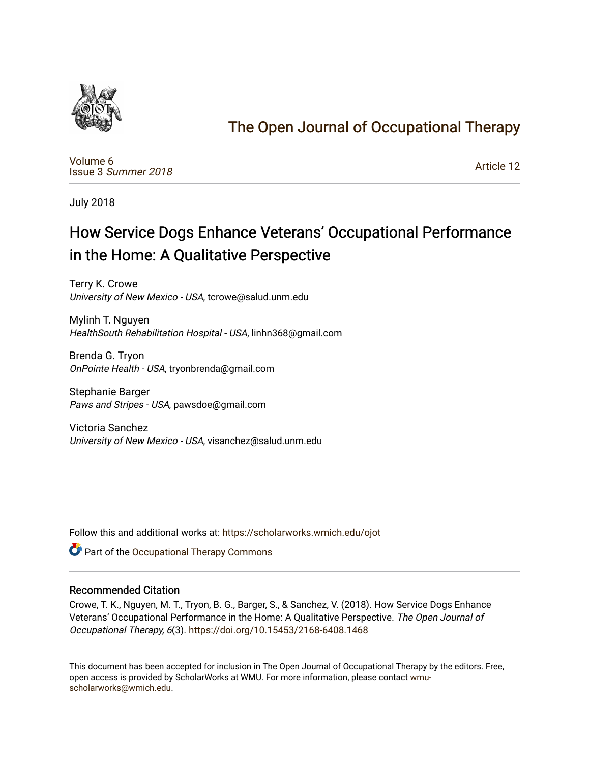

# [The Open Journal of Occupational Therapy](https://scholarworks.wmich.edu/ojot)

[Volume 6](https://scholarworks.wmich.edu/ojot/vol6) Issue 3 [Summer 2018](https://scholarworks.wmich.edu/ojot/vol6/iss3) 

[Article 12](https://scholarworks.wmich.edu/ojot/vol6/iss3/12) 

July 2018

# How Service Dogs Enhance Veterans' Occupational Performance in the Home: A Qualitative Perspective

Terry K. Crowe University of New Mexico - USA, tcrowe@salud.unm.edu

Mylinh T. Nguyen HealthSouth Rehabilitation Hospital - USA, linhn368@gmail.com

Brenda G. Tryon OnPointe Health - USA, tryonbrenda@gmail.com

Stephanie Barger Paws and Stripes - USA, pawsdoe@gmail.com

Victoria Sanchez University of New Mexico - USA, visanchez@salud.unm.edu

Follow this and additional works at: [https://scholarworks.wmich.edu/ojot](https://scholarworks.wmich.edu/ojot?utm_source=scholarworks.wmich.edu%2Fojot%2Fvol6%2Fiss3%2F12&utm_medium=PDF&utm_campaign=PDFCoverPages)

**C** Part of the Occupational Therapy Commons

## Recommended Citation

Crowe, T. K., Nguyen, M. T., Tryon, B. G., Barger, S., & Sanchez, V. (2018). How Service Dogs Enhance Veterans' Occupational Performance in the Home: A Qualitative Perspective. The Open Journal of Occupational Therapy, 6(3). <https://doi.org/10.15453/2168-6408.1468>

This document has been accepted for inclusion in The Open Journal of Occupational Therapy by the editors. Free, open access is provided by ScholarWorks at WMU. For more information, please contact [wmu](mailto:wmu-scholarworks@wmich.edu)[scholarworks@wmich.edu.](mailto:wmu-scholarworks@wmich.edu)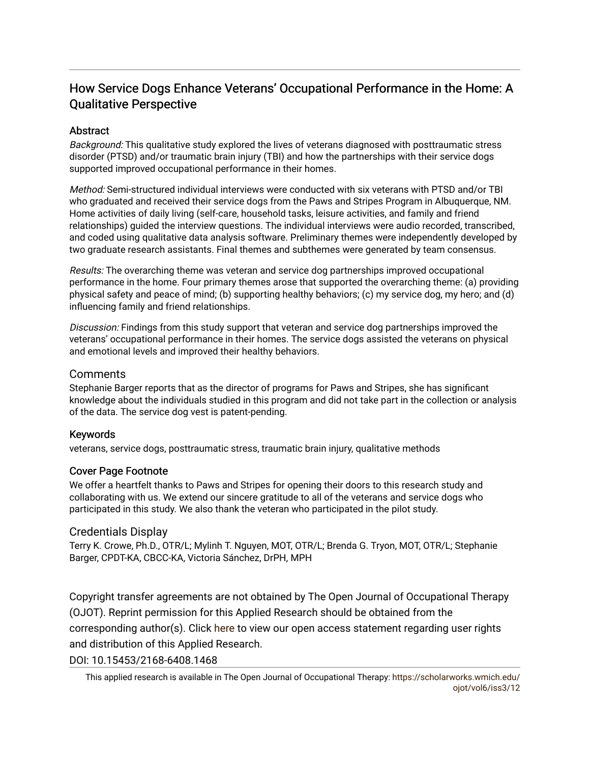# How Service Dogs Enhance Veterans' Occupational Performance in the Home: A Qualitative Perspective

## **Abstract**

Background: This qualitative study explored the lives of veterans diagnosed with posttraumatic stress disorder (PTSD) and/or traumatic brain injury (TBI) and how the partnerships with their service dogs supported improved occupational performance in their homes.

Method: Semi-structured individual interviews were conducted with six veterans with PTSD and/or TBI who graduated and received their service dogs from the Paws and Stripes Program in Albuquerque, NM. Home activities of daily living (self-care, household tasks, leisure activities, and family and friend relationships) guided the interview questions. The individual interviews were audio recorded, transcribed, and coded using qualitative data analysis software. Preliminary themes were independently developed by two graduate research assistants. Final themes and subthemes were generated by team consensus.

Results: The overarching theme was veteran and service dog partnerships improved occupational performance in the home. Four primary themes arose that supported the overarching theme: (a) providing physical safety and peace of mind; (b) supporting healthy behaviors; (c) my service dog, my hero; and (d) influencing family and friend relationships.

Discussion: Findings from this study support that veteran and service dog partnerships improved the veterans' occupational performance in their homes. The service dogs assisted the veterans on physical and emotional levels and improved their healthy behaviors.

## Comments

Stephanie Barger reports that as the director of programs for Paws and Stripes, she has significant knowledge about the individuals studied in this program and did not take part in the collection or analysis of the data. The service dog vest is patent-pending.

## Keywords

veterans, service dogs, posttraumatic stress, traumatic brain injury, qualitative methods

#### Cover Page Footnote

We offer a heartfelt thanks to Paws and Stripes for opening their doors to this research study and collaborating with us. We extend our sincere gratitude to all of the veterans and service dogs who participated in this study. We also thank the veteran who participated in the pilot study.

## Credentials Display

Terry K. Crowe, Ph.D., OTR/L; Mylinh T. Nguyen, MOT, OTR/L; Brenda G. Tryon, MOT, OTR/L; Stephanie Barger, CPDT-KA, CBCC-KA, Victoria Sánchez, DrPH, MPH

Copyright transfer agreements are not obtained by The Open Journal of Occupational Therapy (OJOT). Reprint permission for this Applied Research should be obtained from the corresponding author(s). Click [here](https://scholarworks.wmich.edu/ojot/policies.html#rights) to view our open access statement regarding user rights and distribution of this Applied Research.

DOI: 10.15453/2168-6408.1468

This applied research is available in The Open Journal of Occupational Therapy: [https://scholarworks.wmich.edu/](https://scholarworks.wmich.edu/ojot/vol6/iss3/12) [ojot/vol6/iss3/12](https://scholarworks.wmich.edu/ojot/vol6/iss3/12)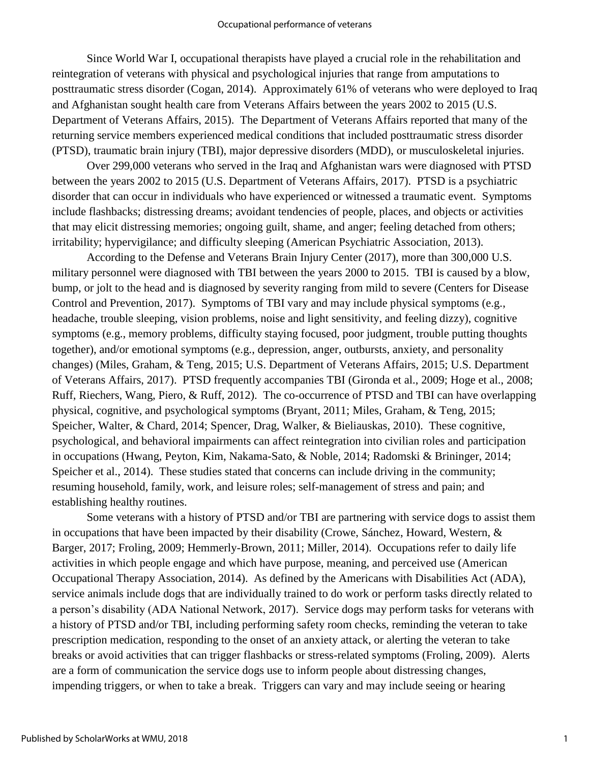Since World War I, occupational therapists have played a crucial role in the rehabilitation and reintegration of veterans with physical and psychological injuries that range from amputations to posttraumatic stress disorder (Cogan, 2014). Approximately 61% of veterans who were deployed to Iraq and Afghanistan sought health care from Veterans Affairs between the years 2002 to 2015 (U.S. Department of Veterans Affairs, 2015). The Department of Veterans Affairs reported that many of the returning service members experienced medical conditions that included posttraumatic stress disorder (PTSD), traumatic brain injury (TBI), major depressive disorders (MDD), or musculoskeletal injuries.

Over 299,000 veterans who served in the Iraq and Afghanistan wars were diagnosed with PTSD between the years 2002 to 2015 (U.S. Department of Veterans Affairs, 2017). PTSD is a psychiatric disorder that can occur in individuals who have experienced or witnessed a traumatic event. Symptoms include flashbacks; distressing dreams; avoidant tendencies of people, places, and objects or activities that may elicit distressing memories; ongoing guilt, shame, and anger; feeling detached from others; irritability; hypervigilance; and difficulty sleeping (American Psychiatric Association, 2013).

According to the Defense and Veterans Brain Injury Center (2017), more than 300,000 U.S. military personnel were diagnosed with TBI between the years 2000 to 2015. TBI is caused by a blow, bump, or jolt to the head and is diagnosed by severity ranging from mild to severe (Centers for Disease Control and Prevention, 2017). Symptoms of TBI vary and may include physical symptoms (e.g., headache, trouble sleeping, vision problems, noise and light sensitivity, and feeling dizzy), cognitive symptoms (e.g., memory problems, difficulty staying focused, poor judgment, trouble putting thoughts together), and/or emotional symptoms (e.g., depression, anger, outbursts, anxiety, and personality changes) (Miles, Graham, & Teng, 2015; U.S. Department of Veterans Affairs, 2015; U.S. Department of Veterans Affairs, 2017). PTSD frequently accompanies TBI (Gironda et al., 2009; Hoge et al., 2008; Ruff, Riechers, Wang, Piero, & Ruff, 2012). The co-occurrence of PTSD and TBI can have overlapping physical, cognitive, and psychological symptoms (Bryant, 2011; Miles, Graham, & Teng, 2015; Speicher, Walter, & Chard, 2014; Spencer, Drag, Walker, & Bieliauskas, 2010). These cognitive, psychological, and behavioral impairments can affect reintegration into civilian roles and participation in occupations (Hwang, Peyton, Kim, Nakama-Sato, & Noble, 2014; Radomski & Brininger, 2014; Speicher et al., 2014). These studies stated that concerns can include driving in the community; resuming household, family, work, and leisure roles; self-management of stress and pain; and establishing healthy routines.

Some veterans with a history of PTSD and/or TBI are partnering with service dogs to assist them in occupations that have been impacted by their disability (Crowe, Sánchez, Howard, Western, & Barger, 2017; Froling, 2009; Hemmerly-Brown, 2011; Miller, 2014). Occupations refer to daily life activities in which people engage and which have purpose, meaning, and perceived use (American Occupational Therapy Association, 2014). As defined by the Americans with Disabilities Act (ADA), service animals include dogs that are individually trained to do work or perform tasks directly related to a person's disability (ADA National Network, 2017). Service dogs may perform tasks for veterans with a history of PTSD and/or TBI, including performing safety room checks, reminding the veteran to take prescription medication, responding to the onset of an anxiety attack, or alerting the veteran to take breaks or avoid activities that can trigger flashbacks or stress-related symptoms (Froling, 2009). Alerts are a form of communication the service dogs use to inform people about distressing changes, impending triggers, or when to take a break. Triggers can vary and may include seeing or hearing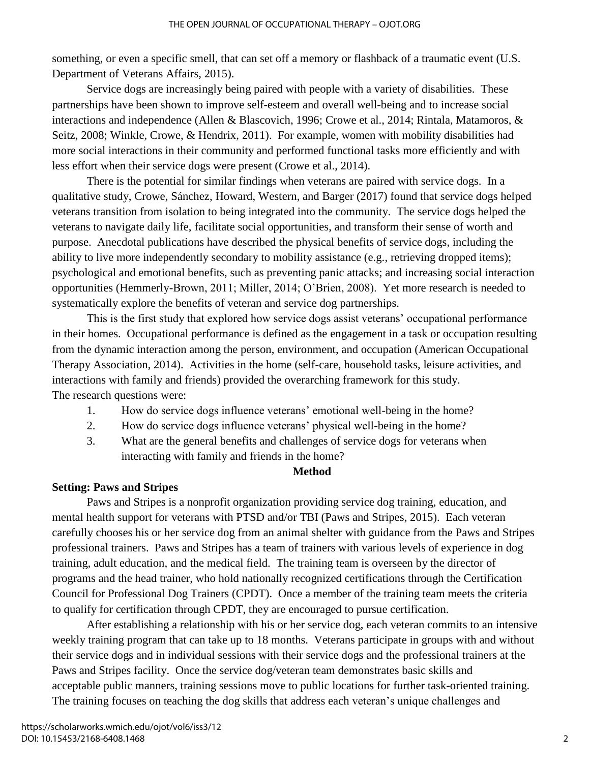something, or even a specific smell, that can set off a memory or flashback of a traumatic event (U.S. Department of Veterans Affairs, 2015).

Service dogs are increasingly being paired with people with a variety of disabilities. These partnerships have been shown to improve self-esteem and overall well-being and to increase social interactions and independence (Allen & Blascovich, 1996; Crowe et al., 2014; Rintala, Matamoros, & Seitz, 2008; Winkle, Crowe, & Hendrix, 2011). For example, women with mobility disabilities had more social interactions in their community and performed functional tasks more efficiently and with less effort when their service dogs were present (Crowe et al., 2014).

There is the potential for similar findings when veterans are paired with service dogs. In a qualitative study, Crowe, Sánchez, Howard, Western, and Barger (2017) found that service dogs helped veterans transition from isolation to being integrated into the community. The service dogs helped the veterans to navigate daily life, facilitate social opportunities, and transform their sense of worth and purpose. Anecdotal publications have described the physical benefits of service dogs, including the ability to live more independently secondary to mobility assistance (e.g., retrieving dropped items); psychological and emotional benefits, such as preventing panic attacks; and increasing social interaction opportunities (Hemmerly-Brown, 2011; Miller, 2014; O'Brien, 2008). Yet more research is needed to systematically explore the benefits of veteran and service dog partnerships.

This is the first study that explored how service dogs assist veterans' occupational performance in their homes. Occupational performance is defined as the engagement in a task or occupation resulting from the dynamic interaction among the person, environment, and occupation (American Occupational Therapy Association, 2014). Activities in the home (self-care, household tasks, leisure activities, and interactions with family and friends) provided the overarching framework for this study. The research questions were:

- 1. How do service dogs influence veterans' emotional well-being in the home?
- 2. How do service dogs influence veterans' physical well-being in the home?
- 3. What are the general benefits and challenges of service dogs for veterans when interacting with family and friends in the home?

## **Method**

## **Setting: Paws and Stripes**

Paws and Stripes is a nonprofit organization providing service dog training, education, and mental health support for veterans with PTSD and/or TBI (Paws and Stripes, 2015). Each veteran carefully chooses his or her service dog from an animal shelter with guidance from the Paws and Stripes professional trainers. Paws and Stripes has a team of trainers with various levels of experience in dog training, adult education, and the medical field. The training team is overseen by the director of programs and the head trainer, who hold nationally recognized certifications through the Certification Council for Professional Dog Trainers (CPDT). Once a member of the training team meets the criteria to qualify for certification through CPDT, they are encouraged to pursue certification.

After establishing a relationship with his or her service dog, each veteran commits to an intensive weekly training program that can take up to 18 months. Veterans participate in groups with and without their service dogs and in individual sessions with their service dogs and the professional trainers at the Paws and Stripes facility. Once the service dog/veteran team demonstrates basic skills and acceptable public manners, training sessions move to public locations for further task-oriented training. The training focuses on teaching the dog skills that address each veteran's unique challenges and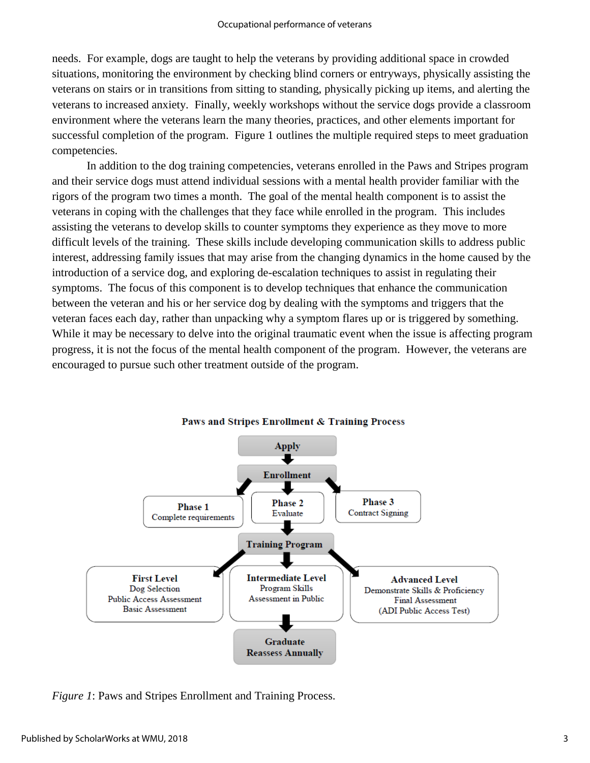needs. For example, dogs are taught to help the veterans by providing additional space in crowded situations, monitoring the environment by checking blind corners or entryways, physically assisting the veterans on stairs or in transitions from sitting to standing, physically picking up items, and alerting the veterans to increased anxiety. Finally, weekly workshops without the service dogs provide a classroom environment where the veterans learn the many theories, practices, and other elements important for successful completion of the program. Figure 1 outlines the multiple required steps to meet graduation competencies.

In addition to the dog training competencies, veterans enrolled in the Paws and Stripes program and their service dogs must attend individual sessions with a mental health provider familiar with the rigors of the program two times a month. The goal of the mental health component is to assist the veterans in coping with the challenges that they face while enrolled in the program. This includes assisting the veterans to develop skills to counter symptoms they experience as they move to more difficult levels of the training. These skills include developing communication skills to address public interest, addressing family issues that may arise from the changing dynamics in the home caused by the introduction of a service dog, and exploring de-escalation techniques to assist in regulating their symptoms. The focus of this component is to develop techniques that enhance the communication between the veteran and his or her service dog by dealing with the symptoms and triggers that the veteran faces each day, rather than unpacking why a symptom flares up or is triggered by something. While it may be necessary to delve into the original traumatic event when the issue is affecting program progress, it is not the focus of the mental health component of the program. However, the veterans are encouraged to pursue such other treatment outside of the program.





*Figure 1*: Paws and Stripes Enrollment and Training Process.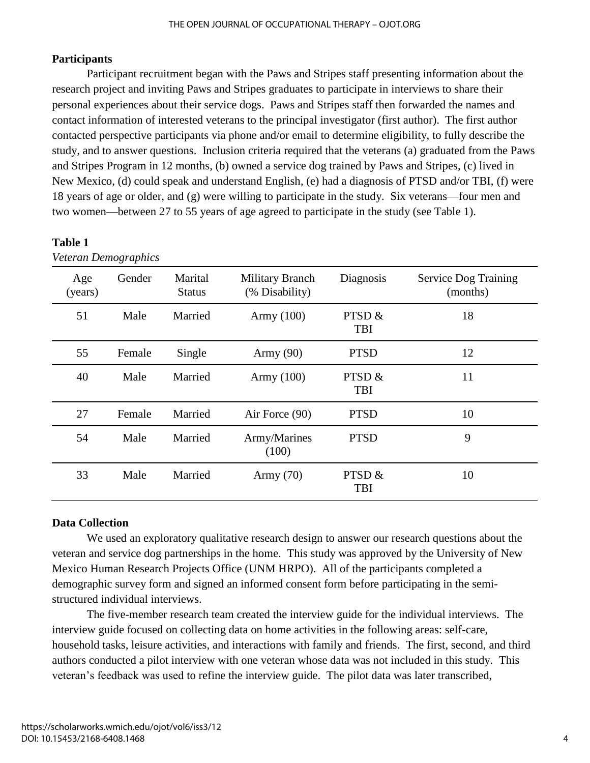# **Participants**

Participant recruitment began with the Paws and Stripes staff presenting information about the research project and inviting Paws and Stripes graduates to participate in interviews to share their personal experiences about their service dogs. Paws and Stripes staff then forwarded the names and contact information of interested veterans to the principal investigator (first author). The first author contacted perspective participants via phone and/or email to determine eligibility, to fully describe the study, and to answer questions. Inclusion criteria required that the veterans (a) graduated from the Paws and Stripes Program in 12 months, (b) owned a service dog trained by Paws and Stripes, (c) lived in New Mexico, (d) could speak and understand English, (e) had a diagnosis of PTSD and/or TBI, (f) were 18 years of age or older, and (g) were willing to participate in the study. Six veterans—four men and two women—between 27 to 55 years of age agreed to participate in the study (see Table 1).

| Veteran Demographics |        |                          |                                          |                        |                                         |
|----------------------|--------|--------------------------|------------------------------------------|------------------------|-----------------------------------------|
| Age<br>(years)       | Gender | Marital<br><b>Status</b> | <b>Military Branch</b><br>(% Disability) | Diagnosis              | <b>Service Dog Training</b><br>(months) |
| 51                   | Male   | Married                  | Army $(100)$                             | PTSD $&$<br>TBI        | 18                                      |
| 55                   | Female | Single                   | Army $(90)$                              | <b>PTSD</b>            | 12                                      |
| 40                   | Male   | Married                  | Army $(100)$                             | PTSD $&$<br><b>TBI</b> | 11                                      |
| 27                   | Female | Married                  | Air Force (90)                           | <b>PTSD</b>            | 10                                      |
| 54                   | Male   | Married                  | Army/Marines<br>(100)                    | <b>PTSD</b>            | 9                                       |
| 33                   | Male   | Married                  | Army $(70)$                              | PTSD $&$<br><b>TBI</b> | 10                                      |

## **Table 1**

# **Data Collection**

We used an exploratory qualitative research design to answer our research questions about the veteran and service dog partnerships in the home. This study was approved by the University of New Mexico Human Research Projects Office (UNM HRPO). All of the participants completed a demographic survey form and signed an informed consent form before participating in the semistructured individual interviews.

The five-member research team created the interview guide for the individual interviews. The interview guide focused on collecting data on home activities in the following areas: self-care, household tasks, leisure activities, and interactions with family and friends. The first, second, and third authors conducted a pilot interview with one veteran whose data was not included in this study. This veteran's feedback was used to refine the interview guide. The pilot data was later transcribed,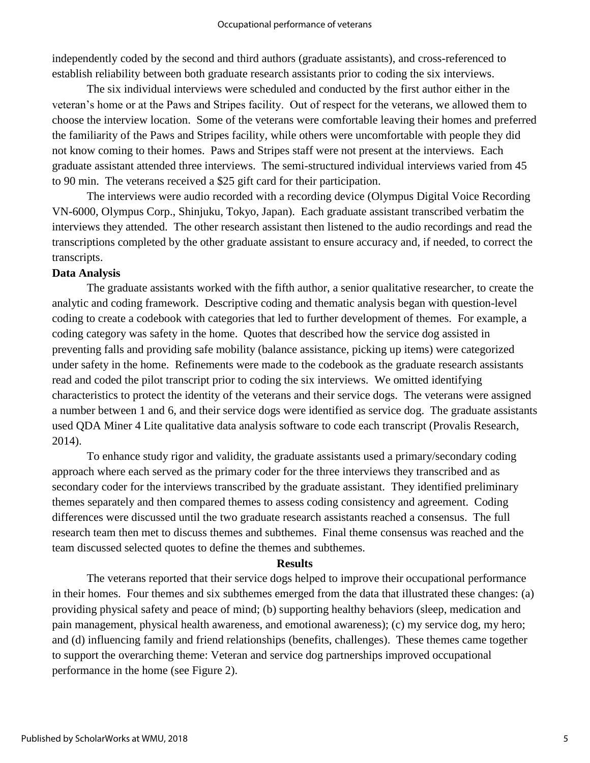independently coded by the second and third authors (graduate assistants), and cross-referenced to establish reliability between both graduate research assistants prior to coding the six interviews.

The six individual interviews were scheduled and conducted by the first author either in the veteran's home or at the Paws and Stripes facility. Out of respect for the veterans, we allowed them to choose the interview location. Some of the veterans were comfortable leaving their homes and preferred the familiarity of the Paws and Stripes facility, while others were uncomfortable with people they did not know coming to their homes. Paws and Stripes staff were not present at the interviews. Each graduate assistant attended three interviews. The semi-structured individual interviews varied from 45 to 90 min. The veterans received a \$25 gift card for their participation.

The interviews were audio recorded with a recording device (Olympus Digital Voice Recording VN-6000, Olympus Corp., Shinjuku, Tokyo, Japan). Each graduate assistant transcribed verbatim the interviews they attended. The other research assistant then listened to the audio recordings and read the transcriptions completed by the other graduate assistant to ensure accuracy and, if needed, to correct the transcripts.

#### **Data Analysis**

The graduate assistants worked with the fifth author, a senior qualitative researcher, to create the analytic and coding framework. Descriptive coding and thematic analysis began with question-level coding to create a codebook with categories that led to further development of themes. For example, a coding category was safety in the home. Quotes that described how the service dog assisted in preventing falls and providing safe mobility (balance assistance, picking up items) were categorized under safety in the home. Refinements were made to the codebook as the graduate research assistants read and coded the pilot transcript prior to coding the six interviews. We omitted identifying characteristics to protect the identity of the veterans and their service dogs. The veterans were assigned a number between 1 and 6, and their service dogs were identified as service dog. The graduate assistants used QDA Miner 4 Lite qualitative data analysis software to code each transcript (Provalis Research, 2014).

To enhance study rigor and validity, the graduate assistants used a primary/secondary coding approach where each served as the primary coder for the three interviews they transcribed and as secondary coder for the interviews transcribed by the graduate assistant. They identified preliminary themes separately and then compared themes to assess coding consistency and agreement. Coding differences were discussed until the two graduate research assistants reached a consensus. The full research team then met to discuss themes and subthemes. Final theme consensus was reached and the team discussed selected quotes to define the themes and subthemes.

#### **Results**

The veterans reported that their service dogs helped to improve their occupational performance in their homes. Four themes and six subthemes emerged from the data that illustrated these changes: (a) providing physical safety and peace of mind; (b) supporting healthy behaviors (sleep, medication and pain management, physical health awareness, and emotional awareness); (c) my service dog, my hero; and (d) influencing family and friend relationships (benefits, challenges). These themes came together to support the overarching theme: Veteran and service dog partnerships improved occupational performance in the home (see Figure 2).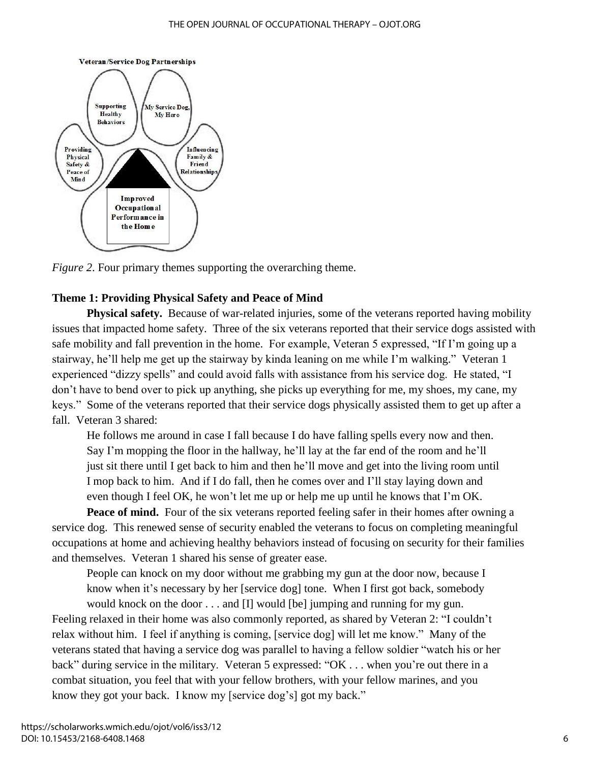

*Figure 2*. Four primary themes supporting the overarching theme.

## **Theme 1: Providing Physical Safety and Peace of Mind**

**Physical safety.** Because of war-related injuries, some of the veterans reported having mobility issues that impacted home safety. Three of the six veterans reported that their service dogs assisted with safe mobility and fall prevention in the home. For example, Veteran 5 expressed, "If I'm going up a stairway, he'll help me get up the stairway by kinda leaning on me while I'm walking." Veteran 1 experienced "dizzy spells" and could avoid falls with assistance from his service dog. He stated, "I don't have to bend over to pick up anything, she picks up everything for me, my shoes, my cane, my keys." Some of the veterans reported that their service dogs physically assisted them to get up after a fall. Veteran 3 shared:

He follows me around in case I fall because I do have falling spells every now and then. Say I'm mopping the floor in the hallway, he'll lay at the far end of the room and he'll just sit there until I get back to him and then he'll move and get into the living room until I mop back to him. And if I do fall, then he comes over and I'll stay laying down and even though I feel OK, he won't let me up or help me up until he knows that I'm OK.

Peace of mind. Four of the six veterans reported feeling safer in their homes after owning a service dog. This renewed sense of security enabled the veterans to focus on completing meaningful occupations at home and achieving healthy behaviors instead of focusing on security for their families and themselves. Veteran 1 shared his sense of greater ease.

People can knock on my door without me grabbing my gun at the door now, because I know when it's necessary by her [service dog] tone. When I first got back, somebody would knock on the door . . . and [I] would [be] jumping and running for my gun.

Feeling relaxed in their home was also commonly reported, as shared by Veteran 2: "I couldn't relax without him. I feel if anything is coming, [service dog] will let me know." Many of the veterans stated that having a service dog was parallel to having a fellow soldier "watch his or her back" during service in the military. Veteran 5 expressed: "OK . . . when you're out there in a combat situation, you feel that with your fellow brothers, with your fellow marines, and you know they got your back. I know my [service dog's] got my back."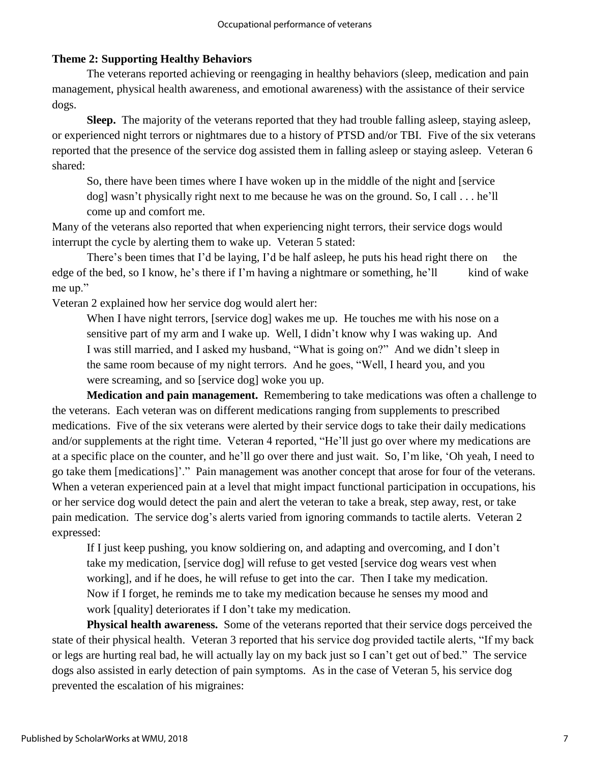## **Theme 2: Supporting Healthy Behaviors**

The veterans reported achieving or reengaging in healthy behaviors (sleep, medication and pain management, physical health awareness, and emotional awareness) with the assistance of their service dogs.

**Sleep.** The majority of the veterans reported that they had trouble falling asleep, staying asleep, or experienced night terrors or nightmares due to a history of PTSD and/or TBI. Five of the six veterans reported that the presence of the service dog assisted them in falling asleep or staying asleep. Veteran 6 shared:

So, there have been times where I have woken up in the middle of the night and [service dog] wasn't physically right next to me because he was on the ground. So, I call . . . he'll come up and comfort me.

Many of the veterans also reported that when experiencing night terrors, their service dogs would interrupt the cycle by alerting them to wake up. Veteran 5 stated:

There's been times that I'd be laying, I'd be half asleep, he puts his head right there on the edge of the bed, so I know, he's there if I'm having a nightmare or something, he'll kind of wake me up."

Veteran 2 explained how her service dog would alert her:

When I have night terrors, [service dog] wakes me up. He touches me with his nose on a sensitive part of my arm and I wake up. Well, I didn't know why I was waking up. And I was still married, and I asked my husband, "What is going on?" And we didn't sleep in the same room because of my night terrors. And he goes, "Well, I heard you, and you were screaming, and so [service dog] woke you up.

**Medication and pain management.** Remembering to take medications was often a challenge to the veterans. Each veteran was on different medications ranging from supplements to prescribed medications. Five of the six veterans were alerted by their service dogs to take their daily medications and/or supplements at the right time. Veteran 4 reported, "He'll just go over where my medications are at a specific place on the counter, and he'll go over there and just wait. So, I'm like, 'Oh yeah, I need to go take them [medications]'." Pain management was another concept that arose for four of the veterans. When a veteran experienced pain at a level that might impact functional participation in occupations, his or her service dog would detect the pain and alert the veteran to take a break, step away, rest, or take pain medication. The service dog's alerts varied from ignoring commands to tactile alerts. Veteran 2 expressed:

If I just keep pushing, you know soldiering on, and adapting and overcoming, and I don't take my medication, [service dog] will refuse to get vested [service dog wears vest when working], and if he does, he will refuse to get into the car. Then I take my medication. Now if I forget, he reminds me to take my medication because he senses my mood and work [quality] deteriorates if I don't take my medication.

**Physical health awareness.** Some of the veterans reported that their service dogs perceived the state of their physical health. Veteran 3 reported that his service dog provided tactile alerts, "If my back or legs are hurting real bad, he will actually lay on my back just so I can't get out of bed." The service dogs also assisted in early detection of pain symptoms. As in the case of Veteran 5, his service dog prevented the escalation of his migraines: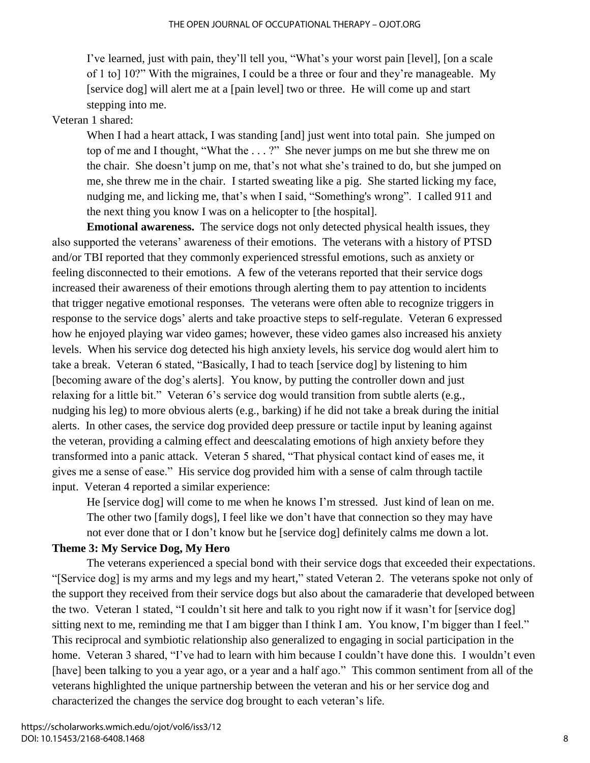I've learned, just with pain, they'll tell you, "What's your worst pain [level], [on a scale of 1 to] 10?" With the migraines, I could be a three or four and they're manageable. My [service dog] will alert me at a [pain level] two or three. He will come up and start stepping into me.

## Veteran 1 shared:

When I had a heart attack, I was standing [and] just went into total pain. She jumped on top of me and I thought, "What the . . . ?" She never jumps on me but she threw me on the chair. She doesn't jump on me, that's not what she's trained to do, but she jumped on me, she threw me in the chair. I started sweating like a pig. She started licking my face, nudging me, and licking me, that's when I said, "Something's wrong". I called 911 and the next thing you know I was on a helicopter to [the hospital].

**Emotional awareness.** The service dogs not only detected physical health issues, they also supported the veterans' awareness of their emotions. The veterans with a history of PTSD and/or TBI reported that they commonly experienced stressful emotions, such as anxiety or feeling disconnected to their emotions. A few of the veterans reported that their service dogs increased their awareness of their emotions through alerting them to pay attention to incidents that trigger negative emotional responses. The veterans were often able to recognize triggers in response to the service dogs' alerts and take proactive steps to self-regulate. Veteran 6 expressed how he enjoyed playing war video games; however, these video games also increased his anxiety levels. When his service dog detected his high anxiety levels, his service dog would alert him to take a break. Veteran 6 stated, "Basically, I had to teach [service dog] by listening to him [becoming aware of the dog's alerts]. You know, by putting the controller down and just relaxing for a little bit." Veteran 6's service dog would transition from subtle alerts (e.g., nudging his leg) to more obvious alerts (e.g., barking) if he did not take a break during the initial alerts. In other cases, the service dog provided deep pressure or tactile input by leaning against the veteran, providing a calming effect and deescalating emotions of high anxiety before they transformed into a panic attack. Veteran 5 shared, "That physical contact kind of eases me, it gives me a sense of ease." His service dog provided him with a sense of calm through tactile input. Veteran 4 reported a similar experience:

He [service dog] will come to me when he knows I'm stressed. Just kind of lean on me. The other two [family dogs], I feel like we don't have that connection so they may have not ever done that or I don't know but he [service dog] definitely calms me down a lot.

#### **Theme 3: My Service Dog, My Hero**

The veterans experienced a special bond with their service dogs that exceeded their expectations. "[Service dog] is my arms and my legs and my heart," stated Veteran 2. The veterans spoke not only of the support they received from their service dogs but also about the camaraderie that developed between the two. Veteran 1 stated, "I couldn't sit here and talk to you right now if it wasn't for [service dog] sitting next to me, reminding me that I am bigger than I think I am. You know, I'm bigger than I feel." This reciprocal and symbiotic relationship also generalized to engaging in social participation in the home. Veteran 3 shared, "I've had to learn with him because I couldn't have done this. I wouldn't even [have] been talking to you a year ago, or a year and a half ago." This common sentiment from all of the veterans highlighted the unique partnership between the veteran and his or her service dog and characterized the changes the service dog brought to each veteran's life.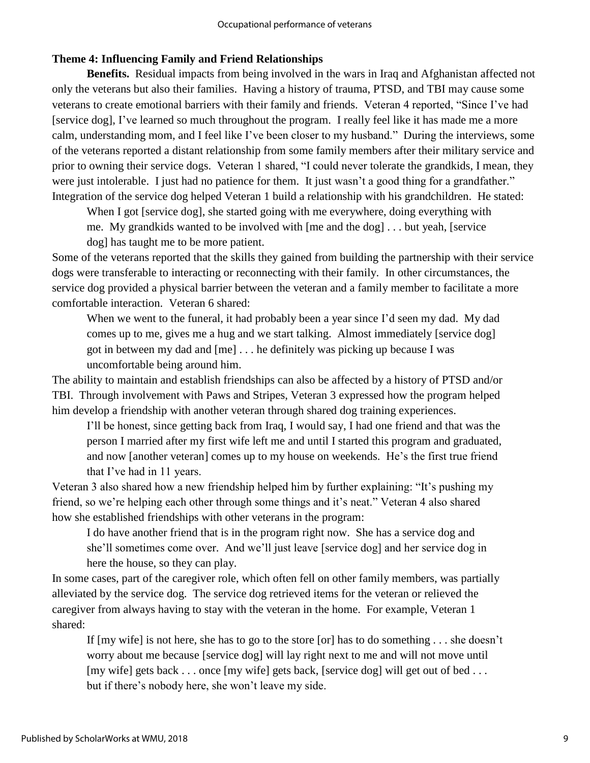## **Theme 4: Influencing Family and Friend Relationships**

**Benefits.** Residual impacts from being involved in the wars in Iraq and Afghanistan affected not only the veterans but also their families. Having a history of trauma, PTSD, and TBI may cause some veterans to create emotional barriers with their family and friends. Veteran 4 reported, "Since I've had [service dog], I've learned so much throughout the program. I really feel like it has made me a more calm, understanding mom, and I feel like I've been closer to my husband." During the interviews, some of the veterans reported a distant relationship from some family members after their military service and prior to owning their service dogs. Veteran 1 shared, "I could never tolerate the grandkids, I mean, they were just intolerable. I just had no patience for them. It just wasn't a good thing for a grandfather." Integration of the service dog helped Veteran 1 build a relationship with his grandchildren. He stated:

When I got [service dog], she started going with me everywhere, doing everything with me. My grandkids wanted to be involved with [me and the dog] . . . but yeah, [service dog] has taught me to be more patient.

Some of the veterans reported that the skills they gained from building the partnership with their service dogs were transferable to interacting or reconnecting with their family. In other circumstances, the service dog provided a physical barrier between the veteran and a family member to facilitate a more comfortable interaction. Veteran 6 shared:

When we went to the funeral, it had probably been a year since I'd seen my dad. My dad comes up to me, gives me a hug and we start talking. Almost immediately [service dog] got in between my dad and [me] . . . he definitely was picking up because I was uncomfortable being around him.

The ability to maintain and establish friendships can also be affected by a history of PTSD and/or TBI. Through involvement with Paws and Stripes, Veteran 3 expressed how the program helped him develop a friendship with another veteran through shared dog training experiences.

I'll be honest, since getting back from Iraq, I would say, I had one friend and that was the person I married after my first wife left me and until I started this program and graduated, and now [another veteran] comes up to my house on weekends. He's the first true friend that I've had in 11 years.

Veteran 3 also shared how a new friendship helped him by further explaining: "It's pushing my friend, so we're helping each other through some things and it's neat." Veteran 4 also shared how she established friendships with other veterans in the program:

I do have another friend that is in the program right now. She has a service dog and she'll sometimes come over. And we'll just leave [service dog] and her service dog in here the house, so they can play.

In some cases, part of the caregiver role, which often fell on other family members, was partially alleviated by the service dog. The service dog retrieved items for the veteran or relieved the caregiver from always having to stay with the veteran in the home. For example, Veteran 1 shared:

If [my wife] is not here, she has to go to the store [or] has to do something . . . she doesn't worry about me because [service dog] will lay right next to me and will not move until [my wife] gets back . . . once [my wife] gets back, [service dog] will get out of bed . . . but if there's nobody here, she won't leave my side.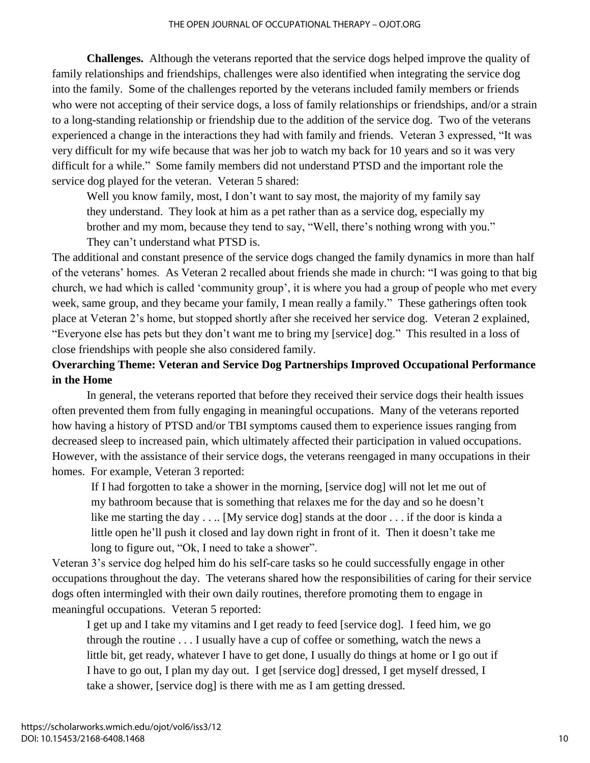**Challenges.** Although the veterans reported that the service dogs helped improve the quality of family relationships and friendships, challenges were also identified when integrating the service dog into the family. Some of the challenges reported by the veterans included family members or friends who were not accepting of their service dogs, a loss of family relationships or friendships, and/or a strain to a long-standing relationship or friendship due to the addition of the service dog. Two of the veterans experienced a change in the interactions they had with family and friends. Veteran 3 expressed, "It was very difficult for my wife because that was her job to watch my back for 10 years and so it was very difficult for a while." Some family members did not understand PTSD and the important role the service dog played for the veteran. Veteran 5 shared:

Well you know family, most, I don't want to say most, the majority of my family say they understand. They look at him as a pet rather than as a service dog, especially my brother and my mom, because they tend to say, "Well, there's nothing wrong with you." They can't understand what PTSD is.

The additional and constant presence of the service dogs changed the family dynamics in more than half of the veterans' homes. As Veteran 2 recalled about friends she made in church: "I was going to that big church, we had which is called 'community group', it is where you had a group of people who met every week, same group, and they became your family, I mean really a family." These gatherings often took place at Veteran 2's home, but stopped shortly after she received her service dog. Veteran 2 explained, "Everyone else has pets but they don't want me to bring my [service] dog." This resulted in a loss of close friendships with people she also considered family.

# **Overarching Theme: Veteran and Service Dog Partnerships Improved Occupational Performance in the Home**

In general, the veterans reported that before they received their service dogs their health issues often prevented them from fully engaging in meaningful occupations. Many of the veterans reported how having a history of PTSD and/or TBI symptoms caused them to experience issues ranging from decreased sleep to increased pain, which ultimately affected their participation in valued occupations. However, with the assistance of their service dogs, the veterans reengaged in many occupations in their homes. For example, Veteran 3 reported:

If I had forgotten to take a shower in the morning, [service dog] will not let me out of my bathroom because that is something that relaxes me for the day and so he doesn't like me starting the day . . .. [My service dog] stands at the door . . . if the door is kinda a little open he'll push it closed and lay down right in front of it. Then it doesn't take me long to figure out, "Ok, I need to take a shower".

Veteran 3's service dog helped him do his self-care tasks so he could successfully engage in other occupations throughout the day. The veterans shared how the responsibilities of caring for their service dogs often intermingled with their own daily routines, therefore promoting them to engage in meaningful occupations. Veteran 5 reported:

I get up and I take my vitamins and I get ready to feed [service dog]. I feed him, we go through the routine . . . I usually have a cup of coffee or something, watch the news a little bit, get ready, whatever I have to get done, I usually do things at home or I go out if I have to go out, I plan my day out. I get [service dog] dressed, I get myself dressed, I take a shower, [service dog] is there with me as I am getting dressed.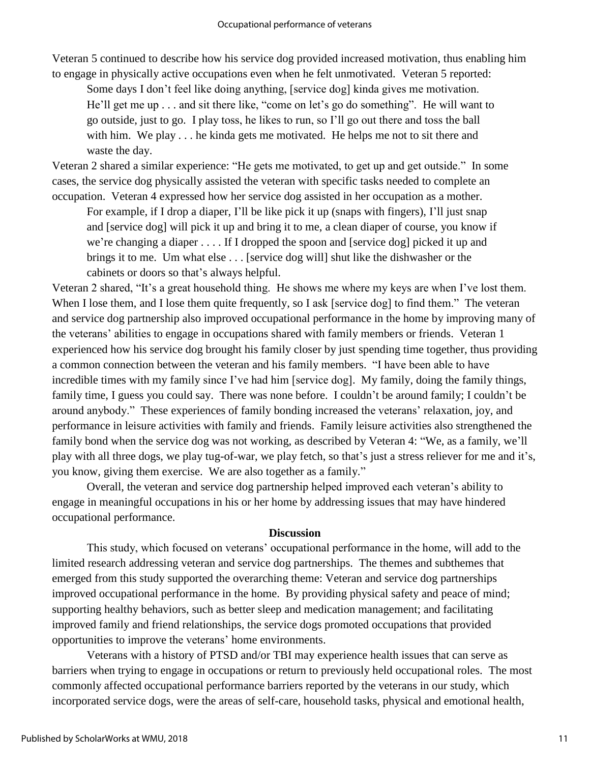Veteran 5 continued to describe how his service dog provided increased motivation, thus enabling him to engage in physically active occupations even when he felt unmotivated. Veteran 5 reported:

Some days I don't feel like doing anything, [service dog] kinda gives me motivation. He'll get me up . . . and sit there like, "come on let's go do something". He will want to go outside, just to go. I play toss, he likes to run, so I'll go out there and toss the ball with him. We play . . . he kinda gets me motivated. He helps me not to sit there and waste the day.

Veteran 2 shared a similar experience: "He gets me motivated, to get up and get outside." In some cases, the service dog physically assisted the veteran with specific tasks needed to complete an occupation. Veteran 4 expressed how her service dog assisted in her occupation as a mother.

For example, if I drop a diaper, I'll be like pick it up (snaps with fingers), I'll just snap and [service dog] will pick it up and bring it to me, a clean diaper of course, you know if we're changing a diaper . . . . If I dropped the spoon and [service dog] picked it up and brings it to me. Um what else . . . [service dog will] shut like the dishwasher or the cabinets or doors so that's always helpful.

Veteran 2 shared, "It's a great household thing. He shows me where my keys are when I've lost them. When I lose them, and I lose them quite frequently, so I ask [service dog] to find them." The veteran and service dog partnership also improved occupational performance in the home by improving many of the veterans' abilities to engage in occupations shared with family members or friends. Veteran 1 experienced how his service dog brought his family closer by just spending time together, thus providing a common connection between the veteran and his family members. "I have been able to have incredible times with my family since I've had him [service dog]. My family, doing the family things, family time, I guess you could say. There was none before. I couldn't be around family; I couldn't be around anybody." These experiences of family bonding increased the veterans' relaxation, joy, and performance in leisure activities with family and friends. Family leisure activities also strengthened the family bond when the service dog was not working, as described by Veteran 4: "We, as a family, we'll play with all three dogs, we play tug-of-war, we play fetch, so that's just a stress reliever for me and it's, you know, giving them exercise. We are also together as a family."

Overall, the veteran and service dog partnership helped improved each veteran's ability to engage in meaningful occupations in his or her home by addressing issues that may have hindered occupational performance.

#### **Discussion**

This study, which focused on veterans' occupational performance in the home, will add to the limited research addressing veteran and service dog partnerships. The themes and subthemes that emerged from this study supported the overarching theme: Veteran and service dog partnerships improved occupational performance in the home. By providing physical safety and peace of mind; supporting healthy behaviors, such as better sleep and medication management; and facilitating improved family and friend relationships, the service dogs promoted occupations that provided opportunities to improve the veterans' home environments.

Veterans with a history of PTSD and/or TBI may experience health issues that can serve as barriers when trying to engage in occupations or return to previously held occupational roles. The most commonly affected occupational performance barriers reported by the veterans in our study, which incorporated service dogs, were the areas of self-care, household tasks, physical and emotional health,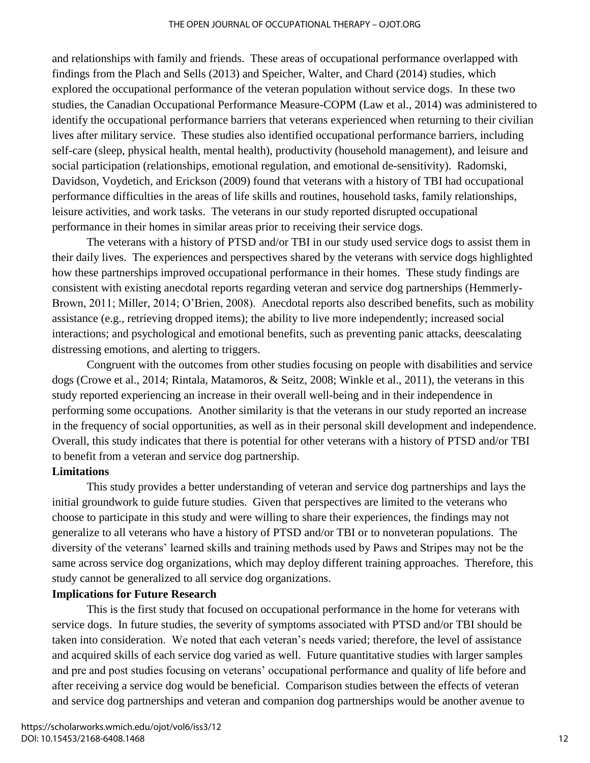and relationships with family and friends. These areas of occupational performance overlapped with findings from the Plach and Sells (2013) and Speicher, Walter, and Chard (2014) studies, which explored the occupational performance of the veteran population without service dogs. In these two studies, the Canadian Occupational Performance Measure-COPM (Law et al., 2014) was administered to identify the occupational performance barriers that veterans experienced when returning to their civilian lives after military service. These studies also identified occupational performance barriers, including self-care (sleep, physical health, mental health), productivity (household management), and leisure and social participation (relationships, emotional regulation, and emotional de-sensitivity). Radomski, Davidson, Voydetich, and Erickson (2009) found that veterans with a history of TBI had occupational performance difficulties in the areas of life skills and routines, household tasks, family relationships, leisure activities, and work tasks. The veterans in our study reported disrupted occupational performance in their homes in similar areas prior to receiving their service dogs.

The veterans with a history of PTSD and/or TBI in our study used service dogs to assist them in their daily lives. The experiences and perspectives shared by the veterans with service dogs highlighted how these partnerships improved occupational performance in their homes. These study findings are consistent with existing anecdotal reports regarding veteran and service dog partnerships (Hemmerly-Brown, 2011; Miller, 2014; O'Brien, 2008). Anecdotal reports also described benefits, such as mobility assistance (e.g., retrieving dropped items); the ability to live more independently; increased social interactions; and psychological and emotional benefits, such as preventing panic attacks, deescalating distressing emotions, and alerting to triggers.

Congruent with the outcomes from other studies focusing on people with disabilities and service dogs (Crowe et al., 2014; Rintala, Matamoros, & Seitz, 2008; Winkle et al., 2011), the veterans in this study reported experiencing an increase in their overall well-being and in their independence in performing some occupations. Another similarity is that the veterans in our study reported an increase in the frequency of social opportunities, as well as in their personal skill development and independence. Overall, this study indicates that there is potential for other veterans with a history of PTSD and/or TBI to benefit from a veteran and service dog partnership.

#### **Limitations**

This study provides a better understanding of veteran and service dog partnerships and lays the initial groundwork to guide future studies. Given that perspectives are limited to the veterans who choose to participate in this study and were willing to share their experiences, the findings may not generalize to all veterans who have a history of PTSD and/or TBI or to nonveteran populations. The diversity of the veterans' learned skills and training methods used by Paws and Stripes may not be the same across service dog organizations, which may deploy different training approaches. Therefore, this study cannot be generalized to all service dog organizations.

## **Implications for Future Research**

This is the first study that focused on occupational performance in the home for veterans with service dogs. In future studies, the severity of symptoms associated with PTSD and/or TBI should be taken into consideration. We noted that each veteran's needs varied; therefore, the level of assistance and acquired skills of each service dog varied as well. Future quantitative studies with larger samples and pre and post studies focusing on veterans' occupational performance and quality of life before and after receiving a service dog would be beneficial. Comparison studies between the effects of veteran and service dog partnerships and veteran and companion dog partnerships would be another avenue to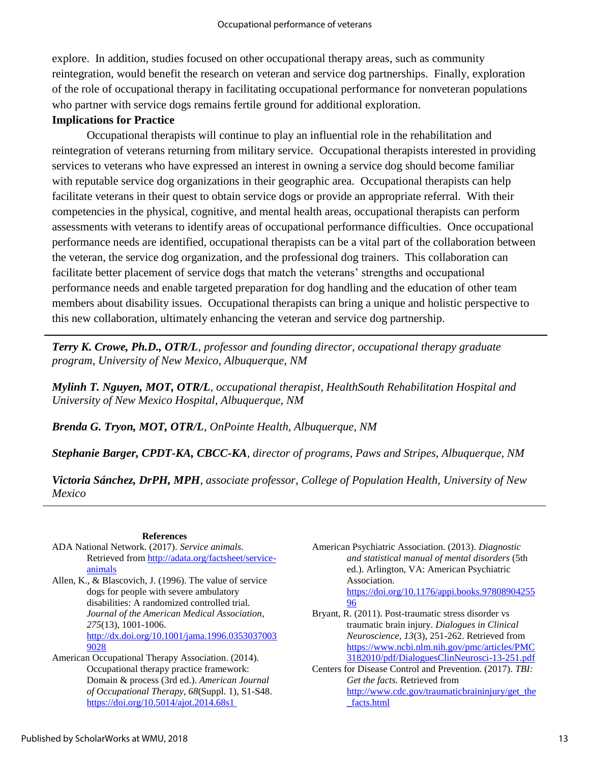explore. In addition, studies focused on other occupational therapy areas, such as community reintegration, would benefit the research on veteran and service dog partnerships. Finally, exploration of the role of occupational therapy in facilitating occupational performance for nonveteran populations who partner with service dogs remains fertile ground for additional exploration.

#### **Implications for Practice**

Occupational therapists will continue to play an influential role in the rehabilitation and reintegration of veterans returning from military service. Occupational therapists interested in providing services to veterans who have expressed an interest in owning a service dog should become familiar with reputable service dog organizations in their geographic area. Occupational therapists can help facilitate veterans in their quest to obtain service dogs or provide an appropriate referral. With their competencies in the physical, cognitive, and mental health areas, occupational therapists can perform assessments with veterans to identify areas of occupational performance difficulties. Once occupational performance needs are identified, occupational therapists can be a vital part of the collaboration between the veteran, the service dog organization, and the professional dog trainers. This collaboration can facilitate better placement of service dogs that match the veterans' strengths and occupational performance needs and enable targeted preparation for dog handling and the education of other team members about disability issues. Occupational therapists can bring a unique and holistic perspective to this new collaboration, ultimately enhancing the veteran and service dog partnership.

*Terry K. Crowe, Ph.D., OTR/L, professor and founding director, occupational therapy graduate program, University of New Mexico, Albuquerque, NM*

*Mylinh T. Nguyen, MOT, OTR/L, occupational therapist, HealthSouth Rehabilitation Hospital and University of New Mexico Hospital, Albuquerque, NM*

*Brenda G. Tryon, MOT, OTR/L, OnPointe Health, Albuquerque, NM*

*Stephanie Barger, CPDT-KA, CBCC-KA, director of programs, Paws and Stripes, Albuquerque, NM*

*Victoria Sánchez, DrPH, MPH, associate professor, College of Population Health, University of New Mexico*

#### **References**

- ADA National Network. (2017). *Service animals*. Retrieved from [http://adata.org/factsheet/service](http://adata.org/factsheet/service-animals)[animals](http://adata.org/factsheet/service-animals)
- Allen, K., & Blascovich, J. (1996). The value of service dogs for people with severe ambulatory disabilities: A randomized controlled trial. *Journal of the American Medical Association*, *275*(13), 1001-1006. [http://dx.doi.org/10.1001/jama.1996.0353037003](http://dx.doi.org/10.1001/jama.1996.03530370039028) [9028](http://dx.doi.org/10.1001/jama.1996.03530370039028)
- American Occupational Therapy Association. (2014). Occupational therapy practice framework: Domain & process (3rd ed.). *American Journal of Occupational Therapy*, *68*(Suppl. 1), S1-S48. <https://doi.org/10.5014/ajot.2014.68s1>
- American Psychiatric Association. (2013). *Diagnostic and statistical manual of mental disorders* (5th ed.). Arlington, VA: American Psychiatric Association. [https://doi.org/10.1176/appi.books.97808904255](https://doi.org/10.1176/appi.books.9780890425596) [96](https://doi.org/10.1176/appi.books.9780890425596)
- Bryant, R. (2011). Post-traumatic stress disorder vs traumatic brain injury. *Dialogues in Clinical Neuroscience*, *13*(3), 251-262. Retrieved from [https://www.ncbi.nlm.nih.gov/pmc/articles/PMC](https://www.ncbi.nlm.nih.gov/pmc/articles/PMC3182010/pdf/DialoguesClinNeurosci-13-251.pdf) [3182010/pdf/DialoguesClinNeurosci-13-251.pdf](https://www.ncbi.nlm.nih.gov/pmc/articles/PMC3182010/pdf/DialoguesClinNeurosci-13-251.pdf)
- Centers for Disease Control and Prevention. (2017). *TBI: Get the facts.* Retrieved from [http://www.cdc.gov/traumaticbraininjury/get\\_the](http://www.cdc.gov/traumaticbraininjury/get_the_facts.html) [\\_facts.html](http://www.cdc.gov/traumaticbraininjury/get_the_facts.html)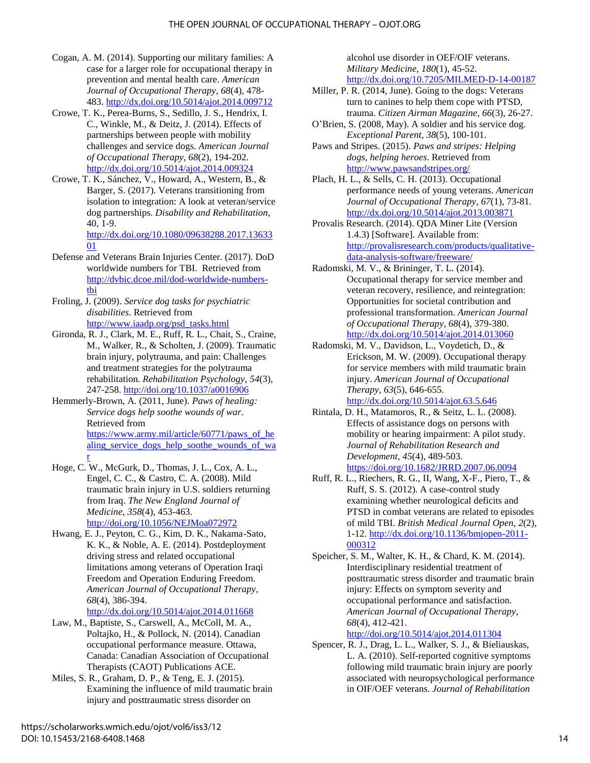- Cogan, A. M. (2014). Supporting our military families: A case for a larger role for occupational therapy in prevention and mental health care. *American Journal of Occupational Therapy*, *68*(4), 478- 483.<http://dx.doi.org/10.5014/ajot.2014.009712>
- Crowe, T. K., Perea-Burns, S., Sedillo, J. S., Hendrix, I. C., Winkle, M., & Deitz, J. (2014). Effects of partnerships between people with mobility challenges and service dogs. *American Journal of Occupational Therapy*, *68*(2), 194-202. <http://dx.doi.org/10.5014/ajot.2014.009324>
- Crowe, T. K., Sánchez, V., Howard, A., Western, B., & Barger, S. (2017). Veterans transitioning from isolation to integration: A look at veteran/service dog partnerships. *Disability and Rehabilitation*, 40, 1-9. [http://dx.doi.org/10.1080/09638288.2017.13633](http://dx.doi.org/10.1080/09638288.2017.1363301)
- [01](http://dx.doi.org/10.1080/09638288.2017.1363301) Defense and Veterans Brain Injuries Center. (2017). DoD worldwide numbers for TBI. Retrieved from [http://dvbic.dcoe.mil/dod-worldwide-numbers](http://dvbic.dcoe.mil/dod-worldwide-numbers-tbi)[tbi](http://dvbic.dcoe.mil/dod-worldwide-numbers-tbi)
- Froling, J. (2009). *Service dog tasks for psychiatric disabilities*. Retrieved from [http://www.iaadp.org/psd\\_tasks.html](http://www.iaadp.org/psd_tasks.html)
- Gironda, R. J., Clark, M. E., Ruff, R. L., Chait, S., Craine, M., Walker, R., & Scholten, J. (2009). Traumatic brain injury, polytrauma, and pain: Challenges and treatment strategies for the polytrauma rehabilitation. *Rehabilitation Psychology*, *54*(3), 247-258.<http://doi.org/10.1037/a0016906>
- Hemmerly-Brown, A. (2011, June). *Paws of healing: Service dogs help soothe wounds of war*. Retrieved from [https://www.army.mil/article/60771/paws\\_of\\_he](https://www.army.mil/article/60771/paws_of_healing_service_dogs_help_soothe_wounds_of_war) [aling\\_service\\_dogs\\_help\\_soothe\\_wounds\\_of\\_wa](https://www.army.mil/article/60771/paws_of_healing_service_dogs_help_soothe_wounds_of_war) [r](https://www.army.mil/article/60771/paws_of_healing_service_dogs_help_soothe_wounds_of_war)
- Hoge, C. W., McGurk, D., Thomas, J. L., Cox, A. L., Engel, C. C., & Castro, C. A. (2008). Mild traumatic brain injury in U.S. soldiers returning from Iraq. *The New England Journal of Medicine*, *358*(4), 453-463. <http://doi.org/10.1056/NEJMoa072972>
- Hwang, E. J., Peyton, C. G., Kim, D. K., Nakama-Sato, K. K., & Noble, A. E. (2014). Postdeployment driving stress and related occupational limitations among veterans of Operation Iraqi Freedom and Operation Enduring Freedom. *American Journal of Occupational Therapy*, *68*(4), 386-394.

<http://dx.doi.org/10.5014/ajot.2014.011668>

- Law, M., Baptiste, S., Carswell, A., McColl, M. A., Poltajko, H., & Pollock, N. (2014). Canadian occupational performance measure. Ottawa, Canada: Canadian Association of Occupational Therapists (CAOT) Publications ACE.
- Miles, S. R., Graham, D. P., & Teng, E. J. (2015). Examining the influence of mild traumatic brain injury and posttraumatic stress disorder on

alcohol use disorder in OEF/OIF veterans. *Military Medicine*, *180*(1), 45-52. <http://dx.doi.org/10.7205/MILMED-D-14-00187>

- Miller, P. R. (2014, June). Going to the dogs: Veterans turn to canines to help them cope with PTSD, trauma. *Citizen Airman Magazine*, *66*(3), 26-27.
- O'Brien, S. (2008, May). A soldier and his service dog. *Exceptional Parent*, *38*(5), 100-101.
- Paws and Stripes. (2015). *Paws and stripes: Helping dogs, helping heroes*. Retrieved from <http://www.pawsandstripes.org/>
- Plach, H. L., & Sells, C. H. (2013). Occupational performance needs of young veterans. *American Journal of Occupational Therapy*, *67*(1), 73-81. <http://dx.doi.org/10.5014/ajot.2013.003871>
- Provalis Research. (2014). QDA Miner Lite (Version 1.4.3) [Software]. Available from: [http://provalisresearch.com/products/qualitative](http://provalisresearch.com/products/qualitative-data-analysis-software/freeware/)[data-analysis-software/freeware/](http://provalisresearch.com/products/qualitative-data-analysis-software/freeware/)
- Radomski, M. V., & Brininger, T. L. (2014). Occupational therapy for service member and veteran recovery, resilience, and reintegration: Opportunities for societal contribution and professional transformation. *American Journal of Occupational Therapy*, *68*(4), 379-380. <http://dx.doi.org/10.5014/ajot.2014.013060>
- Radomski, M. V., Davidson, L., Voydetich, D., & Erickson, M. W. (2009). Occupational therapy for service members with mild traumatic brain injury. *American Journal of Occupational Therapy*, *63*(5), 646-655. <http://dx.doi.org/10.5014/ajot.63.5.646>
- Rintala, D. H., Matamoros, R., & Seitz, L. L. (2008). Effects of assistance dogs on persons with mobility or hearing impairment: A pilot study. *Journal of Rehabilitation Research and Development*, *45*(4), 489-503. <https://doi.org/10.1682/JRRD.2007.06.0094>
- Ruff, R. L., Riechers, R. G., II, Wang, X-F., Piero, T., & Ruff, S. S. (2012). A case-control study examining whether neurological deficits and PTSD in combat veterans are related to episodes of mild TBI. *British Medical Journal Open*, *2*(2), 1-12. [http://dx.doi.org/10.1136/bmjopen-2011-](http://dx.doi.org/10.1136/bmjopen-2011-000312) [000312](http://dx.doi.org/10.1136/bmjopen-2011-000312)
- Speicher, S. M., Walter, K. H., & Chard, K. M. (2014). Interdisciplinary residential treatment of posttraumatic stress disorder and traumatic brain injury: Effects on symptom severity and occupational performance and satisfaction. *American Journal of Occupational Therapy*, *68*(4), 412-421. <http://doi.org/10.5014/ajot.2014.011304>
- Spencer, R. J., Drag, L. L., Walker, S. J., & Bieliauskas, L. A. (2010). Self-reported cognitive symptoms following mild traumatic brain injury are poorly associated with neuropsychological performance in OIF/OEF veterans. *Journal of Rehabilitation*